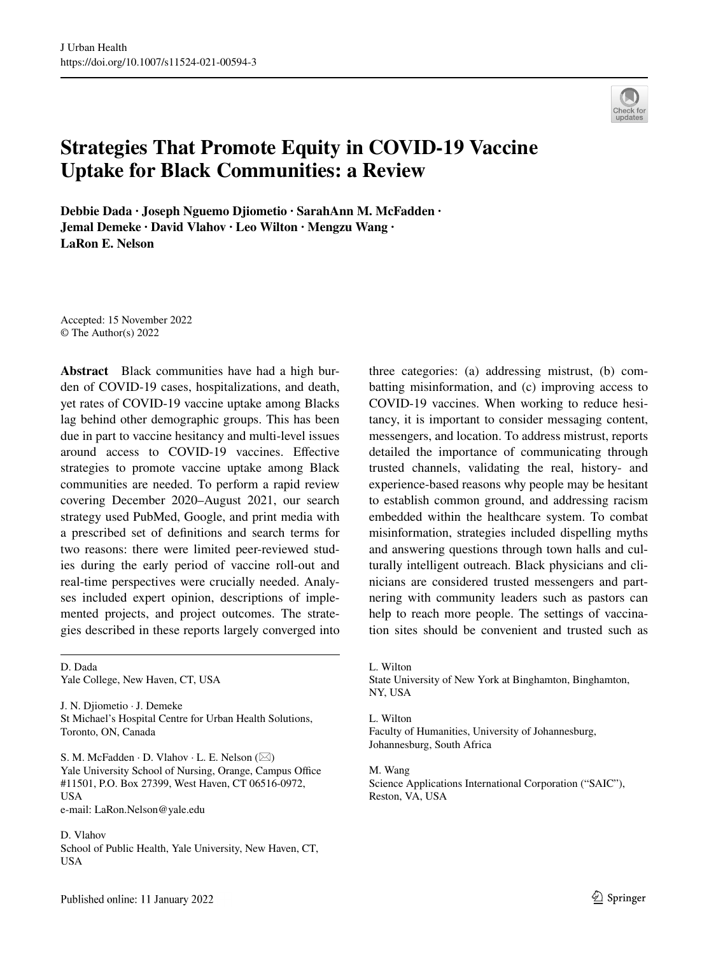# **Strategies That Promote Equity in COVID‑19 Vaccine Uptake for Black Communities: a Review**

**Debbie Dada · Joseph Nguemo Djiometio · SarahAnn M. McFadden · Jemal Demeke · David Vlahov · Leo Wilton · Mengzu Wang · LaRon E. Nelson**

Accepted: 15 November 2022 © The Author(s) 2022

**Abstract** Black communities have had a high burden of COVID-19 cases, hospitalizations, and death, yet rates of COVID-19 vaccine uptake among Blacks lag behind other demographic groups. This has been due in part to vaccine hesitancy and multi-level issues around access to COVID-19 vaccines. Efective strategies to promote vaccine uptake among Black communities are needed. To perform a rapid review covering December 2020–August 2021, our search strategy used PubMed, Google, and print media with a prescribed set of defnitions and search terms for two reasons: there were limited peer-reviewed studies during the early period of vaccine roll-out and real-time perspectives were crucially needed. Analyses included expert opinion, descriptions of implemented projects, and project outcomes. The strategies described in these reports largely converged into

D. Dada Yale College, New Haven, CT, USA

J. N. Djiometio · J. Demeke St Michael's Hospital Centre for Urban Health Solutions, Toronto, ON, Canada

S. M. McFadden  $\cdot$  D. Vlahov  $\cdot$  L. E. Nelson ( $\boxtimes$ ) Yale University School of Nursing, Orange, Campus Office #11501, P.O. Box 27399, West Haven, CT 06516-0972, USA e-mail: LaRon.Nelson@yale.edu

D. Vlahov School of Public Health, Yale University, New Haven, CT, **USA** 

Published online: 11 January 2022

three categories: (a) addressing mistrust, (b) combatting misinformation, and (c) improving access to COVID-19 vaccines. When working to reduce hesitancy, it is important to consider messaging content, messengers, and location. To address mistrust, reports detailed the importance of communicating through trusted channels, validating the real, history- and experience-based reasons why people may be hesitant to establish common ground, and addressing racism embedded within the healthcare system. To combat misinformation, strategies included dispelling myths and answering questions through town halls and culturally intelligent outreach. Black physicians and clinicians are considered trusted messengers and partnering with community leaders such as pastors can help to reach more people. The settings of vaccination sites should be convenient and trusted such as

L. Wilton State University of New York at Binghamton, Binghamton, NY, USA

L. Wilton Faculty of Humanities, University of Johannesburg, Johannesburg, South Africa

M. Wang Science Applications International Corporation ("SAIC"), Reston, VA, USA

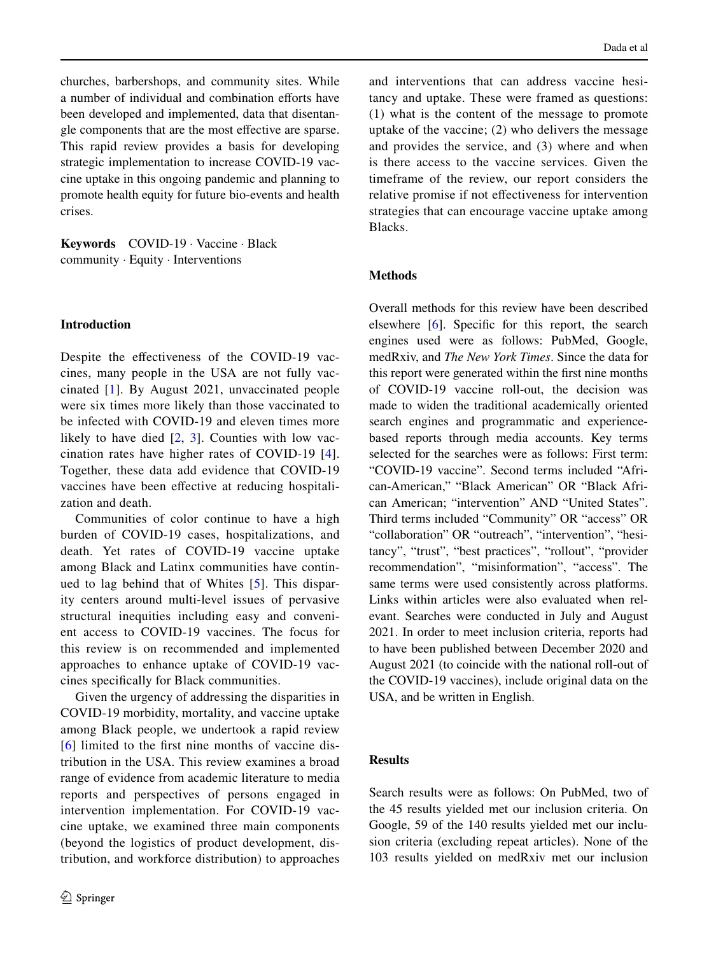churches, barbershops, and community sites. While a number of individual and combination efforts have been developed and implemented, data that disentangle components that are the most efective are sparse. This rapid review provides a basis for developing strategic implementation to increase COVID-19 vaccine uptake in this ongoing pandemic and planning to promote health equity for future bio-events and health crises.

**Keywords** COVID-19 · Vaccine · Black community · Equity · Interventions

## **Introduction**

Despite the efectiveness of the COVID-19 vaccines, many people in the USA are not fully vaccinated [\[1](#page-10-0)]. By August 2021, unvaccinated people were six times more likely than those vaccinated to be infected with COVID-19 and eleven times more likely to have died  $[2, 3]$  $[2, 3]$  $[2, 3]$  $[2, 3]$ . Counties with low vaccination rates have higher rates of COVID-19 [[4](#page-10-3)]. Together, these data add evidence that COVID-19 vaccines have been efective at reducing hospitalization and death.

Communities of color continue to have a high burden of COVID-19 cases, hospitalizations, and death. Yet rates of COVID-19 vaccine uptake among Black and Latinx communities have continued to lag behind that of Whites [[5](#page-10-4)]. This disparity centers around multi-level issues of pervasive structural inequities including easy and convenient access to COVID-19 vaccines. The focus for this review is on recommended and implemented approaches to enhance uptake of COVID-19 vaccines specifcally for Black communities.

Given the urgency of addressing the disparities in COVID-19 morbidity, mortality, and vaccine uptake among Black people, we undertook a rapid review [\[6](#page-10-5)] limited to the frst nine months of vaccine distribution in the USA. This review examines a broad range of evidence from academic literature to media reports and perspectives of persons engaged in intervention implementation. For COVID-19 vaccine uptake, we examined three main components (beyond the logistics of product development, distribution, and workforce distribution) to approaches

and interventions that can address vaccine hesitancy and uptake. These were framed as questions: (1) what is the content of the message to promote uptake of the vaccine; (2) who delivers the message and provides the service, and (3) where and when is there access to the vaccine services. Given the timeframe of the review, our report considers the relative promise if not efectiveness for intervention strategies that can encourage vaccine uptake among Blacks.

## **Methods**

Overall methods for this review have been described elsewhere [[6\]](#page-10-5). Specific for this report, the search engines used were as follows: PubMed, Google, medRxiv, and *The New York Times*. Since the data for this report were generated within the frst nine months of COVID-19 vaccine roll-out, the decision was made to widen the traditional academically oriented search engines and programmatic and experiencebased reports through media accounts. Key terms selected for the searches were as follows: First term: "COVID-19 vaccine". Second terms included "African-American," "Black American" OR "Black African American; "intervention" AND "United States". Third terms included "Community" OR "access" OR "collaboration" OR "outreach", "intervention", "hesitancy", "trust", "best practices", "rollout", "provider recommendation", "misinformation", "access". The same terms were used consistently across platforms. Links within articles were also evaluated when relevant. Searches were conducted in July and August 2021. In order to meet inclusion criteria, reports had to have been published between December 2020 and August 2021 (to coincide with the national roll-out of the COVID-19 vaccines), include original data on the USA, and be written in English.

## **Results**

Search results were as follows: On PubMed, two of the 45 results yielded met our inclusion criteria. On Google, 59 of the 140 results yielded met our inclusion criteria (excluding repeat articles). None of the 103 results yielded on medRxiv met our inclusion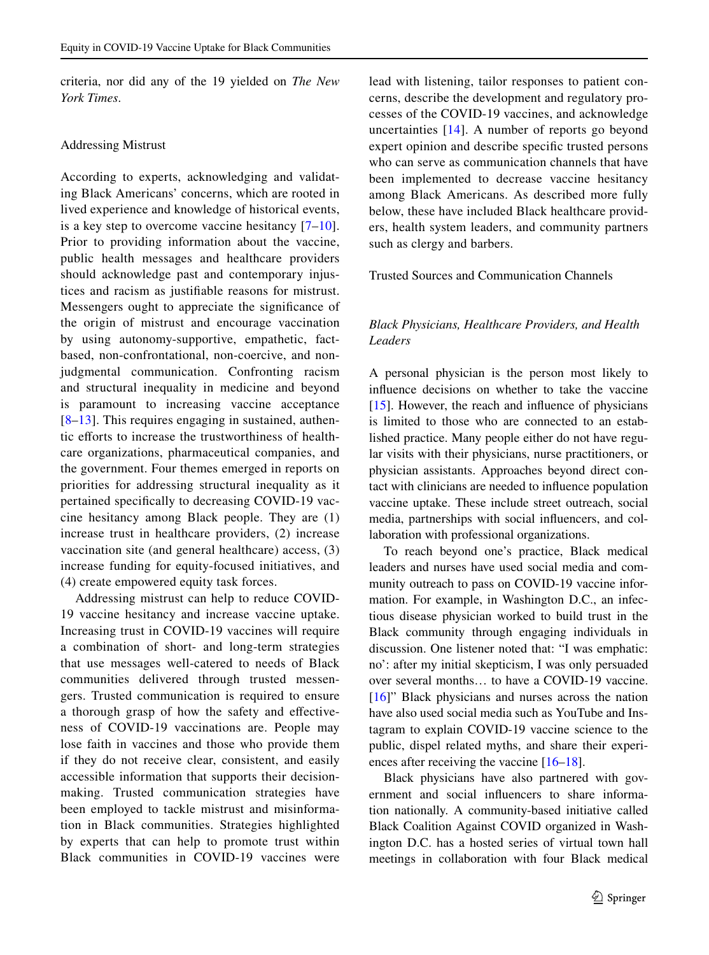criteria, nor did any of the 19 yielded on *The New York Times*.

## Addressing Mistrust

According to experts, acknowledging and validating Black Americans' concerns, which are rooted in lived experience and knowledge of historical events, is a key step to overcome vaccine hesitancy  $[7-10]$  $[7-10]$  $[7-10]$ . Prior to providing information about the vaccine, public health messages and healthcare providers should acknowledge past and contemporary injustices and racism as justifable reasons for mistrust. Messengers ought to appreciate the signifcance of the origin of mistrust and encourage vaccination by using autonomy-supportive, empathetic, factbased, non-confrontational, non-coercive, and nonjudgmental communication. Confronting racism and structural inequality in medicine and beyond is paramount to increasing vaccine acceptance [\[8](#page-10-8)–[13\]](#page-10-9). This requires engaging in sustained, authentic eforts to increase the trustworthiness of healthcare organizations, pharmaceutical companies, and the government. Four themes emerged in reports on priorities for addressing structural inequality as it pertained specifcally to decreasing COVID-19 vaccine hesitancy among Black people. They are (1) increase trust in healthcare providers, (2) increase vaccination site (and general healthcare) access, (3) increase funding for equity-focused initiatives, and (4) create empowered equity task forces.

Addressing mistrust can help to reduce COVID-19 vaccine hesitancy and increase vaccine uptake. Increasing trust in COVID-19 vaccines will require a combination of short- and long-term strategies that use messages well-catered to needs of Black communities delivered through trusted messengers. Trusted communication is required to ensure a thorough grasp of how the safety and efectiveness of COVID-19 vaccinations are. People may lose faith in vaccines and those who provide them if they do not receive clear, consistent, and easily accessible information that supports their decisionmaking. Trusted communication strategies have been employed to tackle mistrust and misinformation in Black communities. Strategies highlighted by experts that can help to promote trust within Black communities in COVID-19 vaccines were

lead with listening, tailor responses to patient concerns, describe the development and regulatory processes of the COVID-19 vaccines, and acknowledge uncertainties [\[14\]](#page-10-10). A number of reports go beyond expert opinion and describe specifc trusted persons who can serve as communication channels that have been implemented to decrease vaccine hesitancy among Black Americans. As described more fully below, these have included Black healthcare providers, health system leaders, and community partners such as clergy and barbers.

## Trusted Sources and Communication Channels

# *Black Physicians, Healthcare Providers, and Health Leaders*

A personal physician is the person most likely to infuence decisions on whether to take the vaccine  $[15]$  $[15]$ . However, the reach and influence of physicians is limited to those who are connected to an established practice. Many people either do not have regular visits with their physicians, nurse practitioners, or physician assistants. Approaches beyond direct contact with clinicians are needed to infuence population vaccine uptake. These include street outreach, social media, partnerships with social infuencers, and collaboration with professional organizations.

To reach beyond one's practice, Black medical leaders and nurses have used social media and community outreach to pass on COVID-19 vaccine information. For example, in Washington D.C., an infectious disease physician worked to build trust in the Black community through engaging individuals in discussion. One listener noted that: "I was emphatic: no': after my initial skepticism, I was only persuaded over several months… to have a COVID-19 vaccine. [\[16](#page-10-12)]" Black physicians and nurses across the nation have also used social media such as YouTube and Instagram to explain COVID-19 vaccine science to the public, dispel related myths, and share their experi-ences after receiving the vaccine [\[16](#page-10-12)[–18](#page-10-13)].

Black physicians have also partnered with government and social infuencers to share information nationally. A community-based initiative called Black Coalition Against COVID organized in Washington D.C. has a hosted series of virtual town hall meetings in collaboration with four Black medical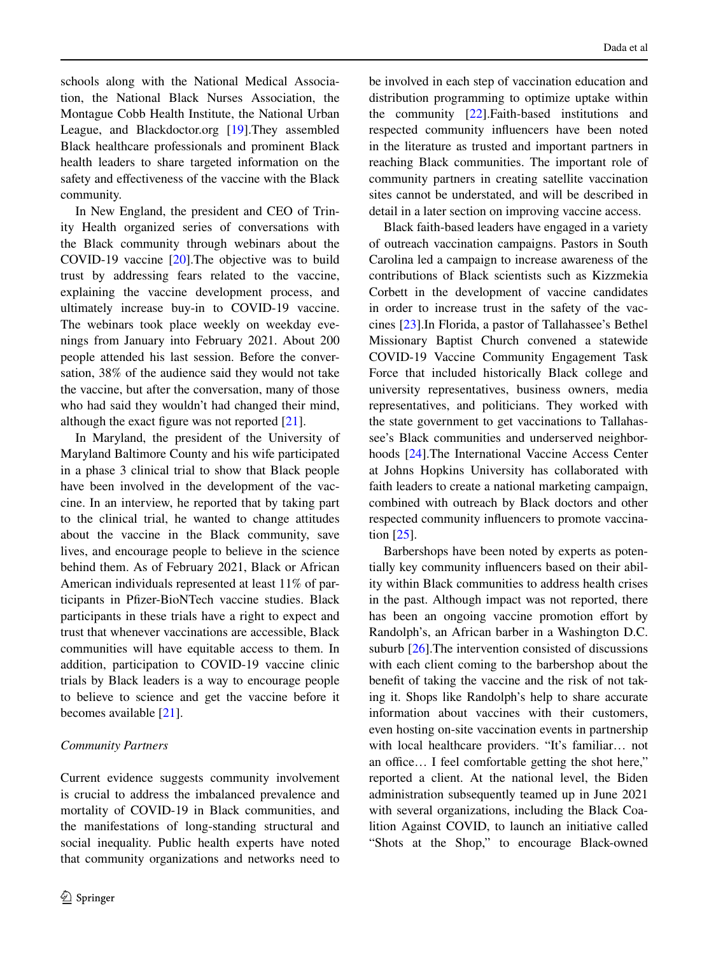schools along with the National Medical Association, the National Black Nurses Association, the Montague Cobb Health Institute, the National Urban League, and Blackdoctor.org [\[19](#page-10-14)].They assembled Black healthcare professionals and prominent Black health leaders to share targeted information on the safety and efectiveness of the vaccine with the Black community.

In New England, the president and CEO of Trinity Health organized series of conversations with the Black community through webinars about the COVID-19 vaccine [[20\]](#page-10-15).The objective was to build trust by addressing fears related to the vaccine, explaining the vaccine development process, and ultimately increase buy-in to COVID-19 vaccine. The webinars took place weekly on weekday evenings from January into February 2021. About 200 people attended his last session. Before the conversation, 38% of the audience said they would not take the vaccine, but after the conversation, many of those who had said they wouldn't had changed their mind, although the exact fgure was not reported [[21\]](#page-11-0).

In Maryland, the president of the University of Maryland Baltimore County and his wife participated in a phase 3 clinical trial to show that Black people have been involved in the development of the vaccine. In an interview, he reported that by taking part to the clinical trial, he wanted to change attitudes about the vaccine in the Black community, save lives, and encourage people to believe in the science behind them. As of February 2021, Black or African American individuals represented at least 11% of participants in Pfzer-BioNTech vaccine studies. Black participants in these trials have a right to expect and trust that whenever vaccinations are accessible, Black communities will have equitable access to them. In addition, participation to COVID-19 vaccine clinic trials by Black leaders is a way to encourage people to believe to science and get the vaccine before it becomes available [[21\]](#page-11-0).

#### *Community Partners*

Current evidence suggests community involvement is crucial to address the imbalanced prevalence and mortality of COVID-19 in Black communities, and the manifestations of long-standing structural and social inequality. Public health experts have noted that community organizations and networks need to be involved in each step of vaccination education and distribution programming to optimize uptake within the community [[22\]](#page-11-1).Faith-based institutions and respected community infuencers have been noted in the literature as trusted and important partners in reaching Black communities. The important role of community partners in creating satellite vaccination sites cannot be understated, and will be described in detail in a later section on improving vaccine access.

Black faith-based leaders have engaged in a variety of outreach vaccination campaigns. Pastors in South Carolina led a campaign to increase awareness of the contributions of Black scientists such as Kizzmekia Corbett in the development of vaccine candidates in order to increase trust in the safety of the vaccines [[23\]](#page-11-2).In Florida, a pastor of Tallahassee's Bethel Missionary Baptist Church convened a statewide COVID-19 Vaccine Community Engagement Task Force that included historically Black college and university representatives, business owners, media representatives, and politicians. They worked with the state government to get vaccinations to Tallahassee's Black communities and underserved neighborhoods [[24\]](#page-11-3).The International Vaccine Access Center at Johns Hopkins University has collaborated with faith leaders to create a national marketing campaign, combined with outreach by Black doctors and other respected community infuencers to promote vaccination [\[25](#page-11-4)].

Barbershops have been noted by experts as potentially key community infuencers based on their ability within Black communities to address health crises in the past. Although impact was not reported, there has been an ongoing vaccine promotion effort by Randolph's, an African barber in a Washington D.C. suburb [\[26](#page-11-5)].The intervention consisted of discussions with each client coming to the barbershop about the beneft of taking the vaccine and the risk of not taking it. Shops like Randolph's help to share accurate information about vaccines with their customers, even hosting on-site vaccination events in partnership with local healthcare providers. "It's familiar… not an office... I feel comfortable getting the shot here," reported a client. At the national level, the Biden administration subsequently teamed up in June 2021 with several organizations, including the Black Coalition Against COVID, to launch an initiative called "Shots at the Shop," to encourage Black-owned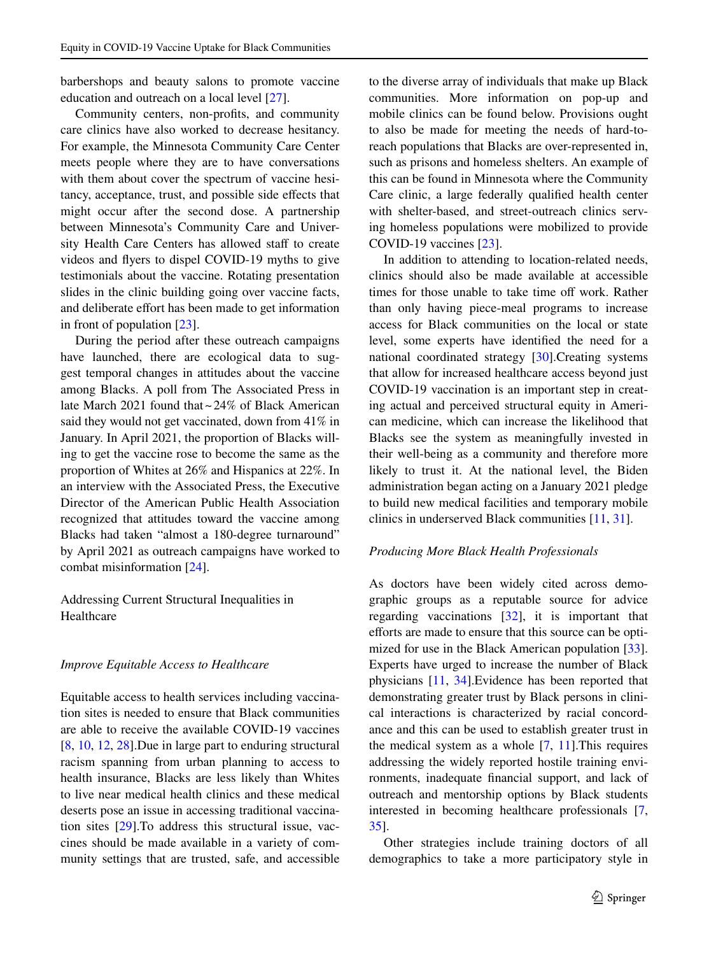barbershops and beauty salons to promote vaccine education and outreach on a local level [\[27](#page-11-6)].

Community centers, non-profts, and community care clinics have also worked to decrease hesitancy. For example, the Minnesota Community Care Center meets people where they are to have conversations with them about cover the spectrum of vaccine hesitancy, acceptance, trust, and possible side efects that might occur after the second dose. A partnership between Minnesota's Community Care and University Health Care Centers has allowed staff to create videos and fyers to dispel COVID-19 myths to give testimonials about the vaccine. Rotating presentation slides in the clinic building going over vaccine facts, and deliberate effort has been made to get information in front of population [\[23](#page-11-2)].

During the period after these outreach campaigns have launched, there are ecological data to suggest temporal changes in attitudes about the vaccine among Blacks. A poll from The Associated Press in late March 2021 found that ~24% of Black American said they would not get vaccinated, down from 41% in January. In April 2021, the proportion of Blacks willing to get the vaccine rose to become the same as the proportion of Whites at 26% and Hispanics at 22%. In an interview with the Associated Press, the Executive Director of the American Public Health Association recognized that attitudes toward the vaccine among Blacks had taken "almost a 180-degree turnaround" by April 2021 as outreach campaigns have worked to combat misinformation [\[24](#page-11-3)].

Addressing Current Structural Inequalities in Healthcare

#### *Improve Equitable Access to Healthcare*

Equitable access to health services including vaccination sites is needed to ensure that Black communities are able to receive the available COVID-19 vaccines [\[8](#page-10-8), [10](#page-10-7), [12](#page-10-16), [28](#page-11-7)].Due in large part to enduring structural racism spanning from urban planning to access to health insurance, Blacks are less likely than Whites to live near medical health clinics and these medical deserts pose an issue in accessing traditional vaccination sites [\[29](#page-11-8)].To address this structural issue, vaccines should be made available in a variety of community settings that are trusted, safe, and accessible to the diverse array of individuals that make up Black communities. More information on pop-up and mobile clinics can be found below. Provisions ought to also be made for meeting the needs of hard-toreach populations that Blacks are over-represented in, such as prisons and homeless shelters. An example of this can be found in Minnesota where the Community Care clinic, a large federally qualifed health center with shelter-based, and street-outreach clinics serving homeless populations were mobilized to provide COVID-19 vaccines [\[23](#page-11-2)].

In addition to attending to location-related needs, clinics should also be made available at accessible times for those unable to take time off work. Rather than only having piece-meal programs to increase access for Black communities on the local or state level, some experts have identifed the need for a national coordinated strategy [[30\]](#page-11-9).Creating systems that allow for increased healthcare access beyond just COVID-19 vaccination is an important step in creating actual and perceived structural equity in American medicine, which can increase the likelihood that Blacks see the system as meaningfully invested in their well-being as a community and therefore more likely to trust it. At the national level, the Biden administration began acting on a January 2021 pledge to build new medical facilities and temporary mobile clinics in underserved Black communities [\[11](#page-10-17), [31](#page-11-10)].

#### *Producing More Black Health Professionals*

As doctors have been widely cited across demographic groups as a reputable source for advice regarding vaccinations [\[32](#page-11-11)], it is important that efforts are made to ensure that this source can be optimized for use in the Black American population [\[33](#page-11-12)]. Experts have urged to increase the number of Black physicians [\[11](#page-10-17), [34\]](#page-11-13).Evidence has been reported that demonstrating greater trust by Black persons in clinical interactions is characterized by racial concordance and this can be used to establish greater trust in the medical system as a whole [[7,](#page-10-6) [11\]](#page-10-17).This requires addressing the widely reported hostile training environments, inadequate fnancial support, and lack of outreach and mentorship options by Black students interested in becoming healthcare professionals [[7,](#page-10-6) [35\]](#page-11-14).

Other strategies include training doctors of all demographics to take a more participatory style in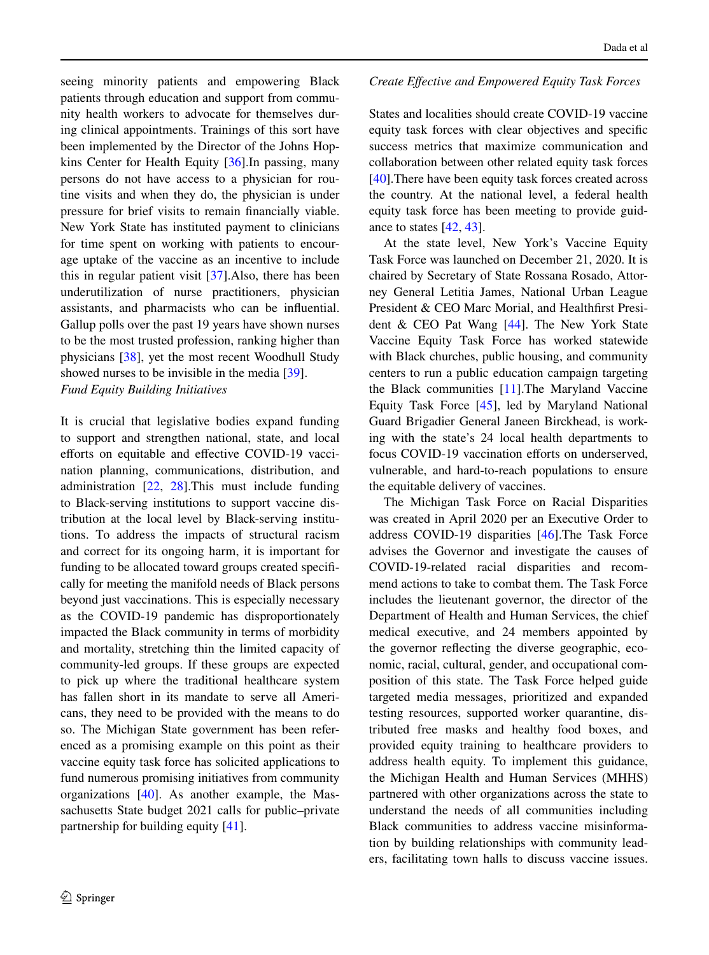seeing minority patients and empowering Black patients through education and support from community health workers to advocate for themselves during clinical appointments. Trainings of this sort have been implemented by the Director of the Johns Hopkins Center for Health Equity [\[36](#page-11-15)].In passing, many persons do not have access to a physician for routine visits and when they do, the physician is under pressure for brief visits to remain fnancially viable. New York State has instituted payment to clinicians for time spent on working with patients to encourage uptake of the vaccine as an incentive to include this in regular patient visit [\[37](#page-11-16)].Also, there has been underutilization of nurse practitioners, physician assistants, and pharmacists who can be infuential. Gallup polls over the past 19 years have shown nurses to be the most trusted profession, ranking higher than physicians [\[38](#page-11-17)], yet the most recent Woodhull Study showed nurses to be invisible in the media [[39\]](#page-11-18). *Fund Equity Building Initiatives*

It is crucial that legislative bodies expand funding to support and strengthen national, state, and local efforts on equitable and effective COVID-19 vaccination planning, communications, distribution, and administration [\[22](#page-11-1), [28\]](#page-11-7).This must include funding to Black-serving institutions to support vaccine distribution at the local level by Black-serving institutions. To address the impacts of structural racism and correct for its ongoing harm, it is important for funding to be allocated toward groups created specifcally for meeting the manifold needs of Black persons beyond just vaccinations. This is especially necessary as the COVID-19 pandemic has disproportionately impacted the Black community in terms of morbidity and mortality, stretching thin the limited capacity of community-led groups. If these groups are expected to pick up where the traditional healthcare system has fallen short in its mandate to serve all Americans, they need to be provided with the means to do so. The Michigan State government has been referenced as a promising example on this point as their vaccine equity task force has solicited applications to fund numerous promising initiatives from community organizations [\[40](#page-11-19)]. As another example, the Massachusetts State budget 2021 calls for public–private partnership for building equity [[41\]](#page-11-20).

# *Create Efective and Empowered Equity Task Forces*

States and localities should create COVID-19 vaccine equity task forces with clear objectives and specifc success metrics that maximize communication and collaboration between other related equity task forces [\[40](#page-11-19)].There have been equity task forces created across the country. At the national level, a federal health equity task force has been meeting to provide guidance to states [\[42](#page-11-21), [43](#page-11-22)].

At the state level, New York's Vaccine Equity Task Force was launched on December 21, 2020. It is chaired by Secretary of State Rossana Rosado, Attorney General Letitia James, National Urban League President & CEO Marc Morial, and Healthfrst President & CEO Pat Wang [\[44](#page-11-23)]. The New York State Vaccine Equity Task Force has worked statewide with Black churches, public housing, and community centers to run a public education campaign targeting the Black communities [[11\]](#page-10-17).The Maryland Vaccine Equity Task Force [[45\]](#page-11-24), led by Maryland National Guard Brigadier General Janeen Birckhead, is working with the state's 24 local health departments to focus COVID-19 vaccination efforts on underserved, vulnerable, and hard-to-reach populations to ensure the equitable delivery of vaccines.

The Michigan Task Force on Racial Disparities was created in April 2020 per an Executive Order to address COVID-19 disparities [[46\]](#page-11-25).The Task Force advises the Governor and investigate the causes of COVID-19-related racial disparities and recommend actions to take to combat them. The Task Force includes the lieutenant governor, the director of the Department of Health and Human Services, the chief medical executive, and 24 members appointed by the governor refecting the diverse geographic, economic, racial, cultural, gender, and occupational composition of this state. The Task Force helped guide targeted media messages, prioritized and expanded testing resources, supported worker quarantine, distributed free masks and healthy food boxes, and provided equity training to healthcare providers to address health equity. To implement this guidance, the Michigan Health and Human Services (MHHS) partnered with other organizations across the state to understand the needs of all communities including Black communities to address vaccine misinformation by building relationships with community leaders, facilitating town halls to discuss vaccine issues.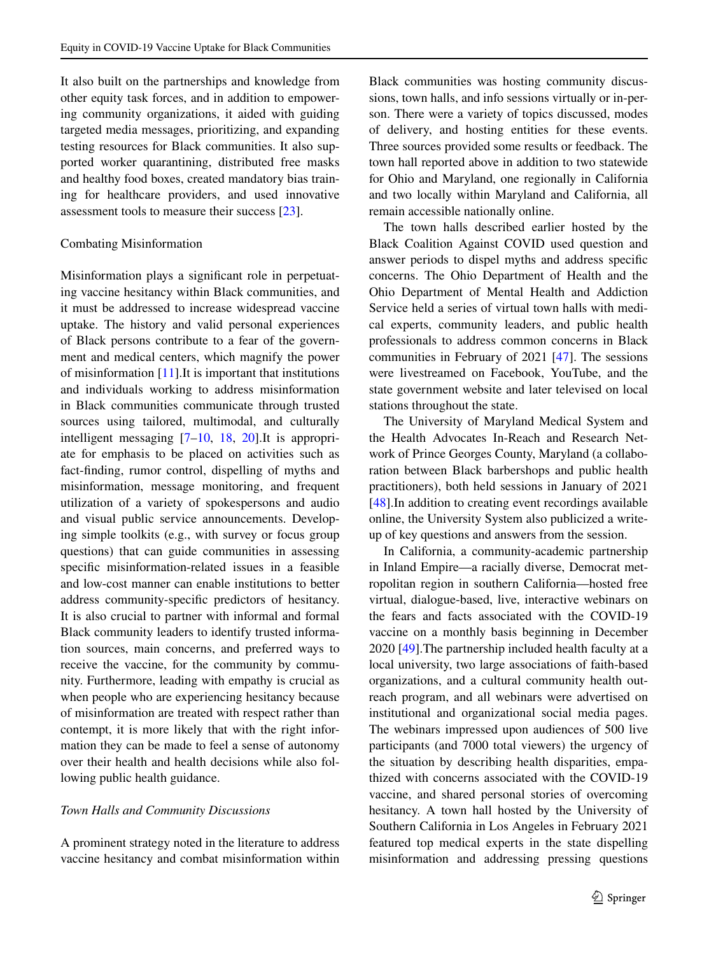It also built on the partnerships and knowledge from other equity task forces, and in addition to empowering community organizations, it aided with guiding targeted media messages, prioritizing, and expanding testing resources for Black communities. It also supported worker quarantining, distributed free masks and healthy food boxes, created mandatory bias training for healthcare providers, and used innovative assessment tools to measure their success [\[23](#page-11-2)].

#### Combating Misinformation

Misinformation plays a signifcant role in perpetuating vaccine hesitancy within Black communities, and it must be addressed to increase widespread vaccine uptake. The history and valid personal experiences of Black persons contribute to a fear of the government and medical centers, which magnify the power of misinformation [[11\]](#page-10-17).It is important that institutions and individuals working to address misinformation in Black communities communicate through trusted sources using tailored, multimodal, and culturally intelligent messaging [\[7](#page-10-6)[–10](#page-10-7), [18](#page-10-13), [20\]](#page-10-15).It is appropriate for emphasis to be placed on activities such as fact-fnding, rumor control, dispelling of myths and misinformation, message monitoring, and frequent utilization of a variety of spokespersons and audio and visual public service announcements. Developing simple toolkits (e.g., with survey or focus group questions) that can guide communities in assessing specifc misinformation-related issues in a feasible and low-cost manner can enable institutions to better address community-specifc predictors of hesitancy. It is also crucial to partner with informal and formal Black community leaders to identify trusted information sources, main concerns, and preferred ways to receive the vaccine, for the community by community. Furthermore, leading with empathy is crucial as when people who are experiencing hesitancy because of misinformation are treated with respect rather than contempt, it is more likely that with the right information they can be made to feel a sense of autonomy over their health and health decisions while also following public health guidance.

## *Town Halls and Community Discussions*

A prominent strategy noted in the literature to address vaccine hesitancy and combat misinformation within

Black communities was hosting community discussions, town halls, and info sessions virtually or in-person. There were a variety of topics discussed, modes of delivery, and hosting entities for these events. Three sources provided some results or feedback. The town hall reported above in addition to two statewide for Ohio and Maryland, one regionally in California and two locally within Maryland and California, all remain accessible nationally online.

The town halls described earlier hosted by the Black Coalition Against COVID used question and answer periods to dispel myths and address specifc concerns. The Ohio Department of Health and the Ohio Department of Mental Health and Addiction Service held a series of virtual town halls with medical experts, community leaders, and public health professionals to address common concerns in Black communities in February of 2021 [\[47](#page-11-26)]. The sessions were livestreamed on Facebook, YouTube, and the state government website and later televised on local stations throughout the state.

The University of Maryland Medical System and the Health Advocates In-Reach and Research Network of Prince Georges County, Maryland (a collaboration between Black barbershops and public health practitioners), both held sessions in January of 2021 [\[48](#page-11-27)]. In addition to creating event recordings available online, the University System also publicized a writeup of key questions and answers from the session.

In California, a community-academic partnership in Inland Empire—a racially diverse, Democrat metropolitan region in southern California—hosted free virtual, dialogue-based, live, interactive webinars on the fears and facts associated with the COVID-19 vaccine on a monthly basis beginning in December 2020 [[49\]](#page-11-28).The partnership included health faculty at a local university, two large associations of faith-based organizations, and a cultural community health outreach program, and all webinars were advertised on institutional and organizational social media pages. The webinars impressed upon audiences of 500 live participants (and 7000 total viewers) the urgency of the situation by describing health disparities, empathized with concerns associated with the COVID-19 vaccine, and shared personal stories of overcoming hesitancy. A town hall hosted by the University of Southern California in Los Angeles in February 2021 featured top medical experts in the state dispelling misinformation and addressing pressing questions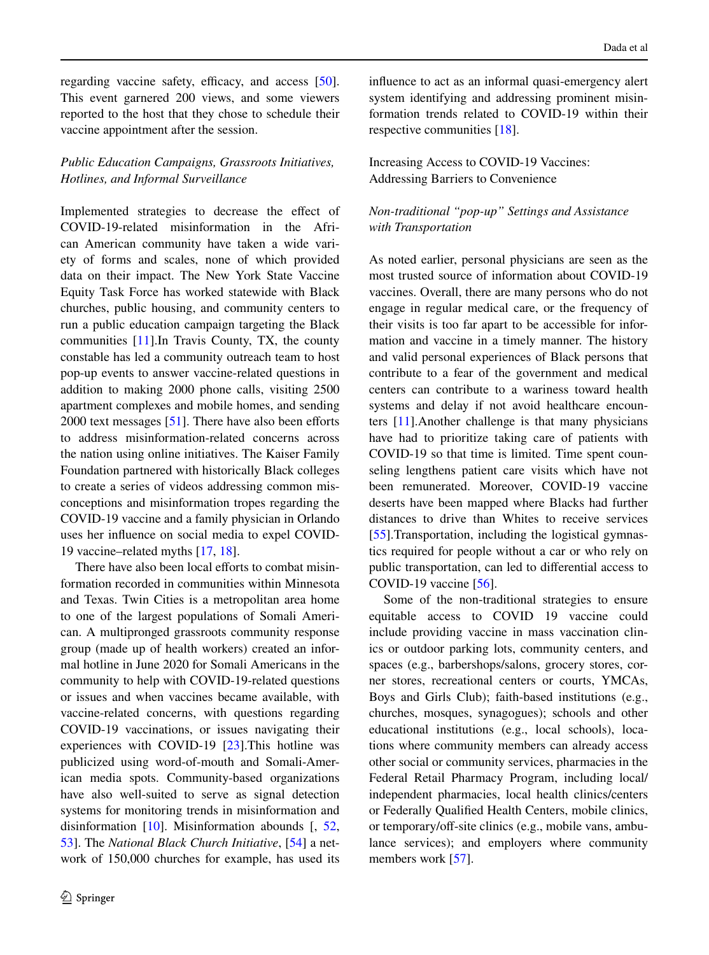regarding vaccine safety, efficacy, and access  $[50]$  $[50]$ . This event garnered 200 views, and some viewers reported to the host that they chose to schedule their vaccine appointment after the session.

# *Public Education Campaigns, Grassroots Initiatives, Hotlines, and Informal Surveillance*

Implemented strategies to decrease the efect of COVID-19-related misinformation in the African American community have taken a wide variety of forms and scales, none of which provided data on their impact. The New York State Vaccine Equity Task Force has worked statewide with Black churches, public housing, and community centers to run a public education campaign targeting the Black communities [[11\]](#page-10-17).In Travis County, TX, the county constable has led a community outreach team to host pop-up events to answer vaccine-related questions in addition to making 2000 phone calls, visiting 2500 apartment complexes and mobile homes, and sending  $2000$  text messages [[51\]](#page-12-1). There have also been efforts to address misinformation-related concerns across the nation using online initiatives. The Kaiser Family Foundation partnered with historically Black colleges to create a series of videos addressing common misconceptions and misinformation tropes regarding the COVID-19 vaccine and a family physician in Orlando uses her infuence on social media to expel COVID-19 vaccine–related myths [\[17](#page-10-18), [18](#page-10-13)].

There have also been local efforts to combat misinformation recorded in communities within Minnesota and Texas. Twin Cities is a metropolitan area home to one of the largest populations of Somali American. A multipronged grassroots community response group (made up of health workers) created an informal hotline in June 2020 for Somali Americans in the community to help with COVID-19-related questions or issues and when vaccines became available, with vaccine-related concerns, with questions regarding COVID-19 vaccinations, or issues navigating their experiences with COVID-19 [\[23](#page-11-2)].This hotline was publicized using word-of-mouth and Somali-American media spots. Community-based organizations have also well-suited to serve as signal detection systems for monitoring trends in misinformation and disinformation [[10\]](#page-10-7). Misinformation abounds [, [52,](#page-12-2) [53\]](#page-12-3). The *National Black Church Initiative*, [\[54](#page-12-4)] a network of 150,000 churches for example, has used its infuence to act as an informal quasi-emergency alert system identifying and addressing prominent misinformation trends related to COVID-19 within their respective communities [\[18](#page-10-13)].

# Increasing Access to COVID-19 Vaccines: Addressing Barriers to Convenience

# *Non‑traditional "pop‑up" Settings and Assistance with Transportation*

As noted earlier, personal physicians are seen as the most trusted source of information about COVID-19 vaccines. Overall, there are many persons who do not engage in regular medical care, or the frequency of their visits is too far apart to be accessible for information and vaccine in a timely manner. The history and valid personal experiences of Black persons that contribute to a fear of the government and medical centers can contribute to a wariness toward health systems and delay if not avoid healthcare encounters [[11\]](#page-10-17).Another challenge is that many physicians have had to prioritize taking care of patients with COVID-19 so that time is limited. Time spent counseling lengthens patient care visits which have not been remunerated. Moreover, COVID-19 vaccine deserts have been mapped where Blacks had further distances to drive than Whites to receive services [\[55](#page-12-5)].Transportation, including the logistical gymnastics required for people without a car or who rely on public transportation, can led to diferential access to COVID-19 vaccine [\[56](#page-12-6)].

Some of the non-traditional strategies to ensure equitable access to COVID 19 vaccine could include providing vaccine in mass vaccination clinics or outdoor parking lots, community centers, and spaces (e.g., barbershops/salons, grocery stores, corner stores, recreational centers or courts, YMCAs, Boys and Girls Club); faith-based institutions (e.g., churches, mosques, synagogues); schools and other educational institutions (e.g., local schools), locations where community members can already access other social or community services, pharmacies in the Federal Retail Pharmacy Program, including local/ independent pharmacies, local health clinics/centers or Federally Qualifed Health Centers, mobile clinics, or temporary/off-site clinics (e.g., mobile vans, ambulance services); and employers where community members work [\[57](#page-12-7)].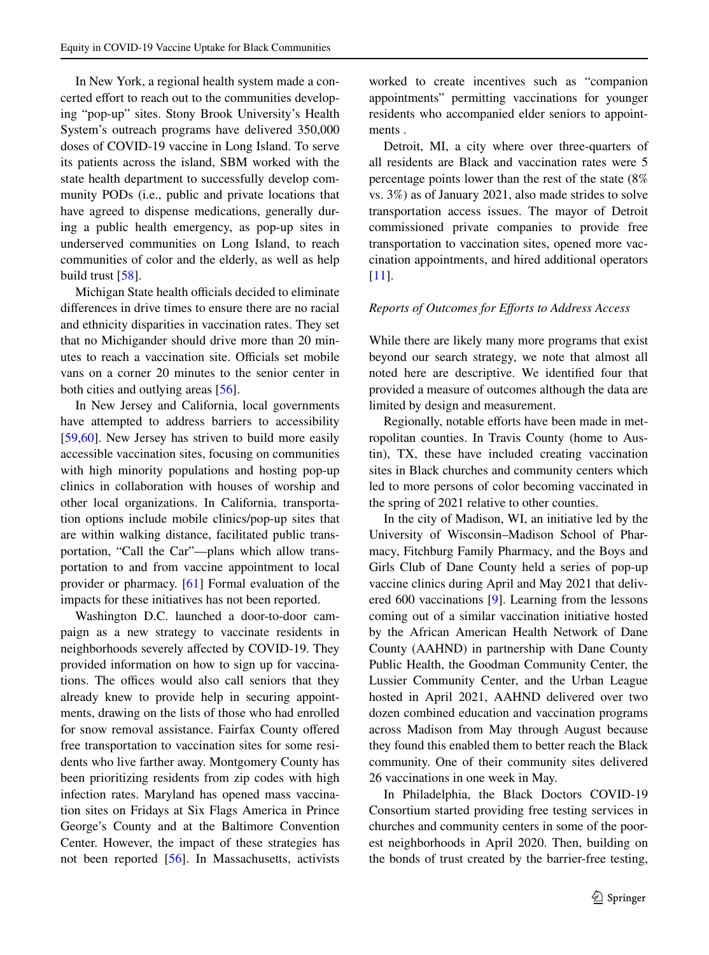In New York, a regional health system made a concerted effort to reach out to the communities developing "pop-up" sites. Stony Brook University's Health System's outreach programs have delivered 350,000 doses of COVID-19 vaccine in Long Island. To serve its patients across the island, SBM worked with the state health department to successfully develop community PODs (i.e., public and private locations that have agreed to dispense medications, generally during a public health emergency, as pop-up sites in underserved communities on Long Island, to reach communities of color and the elderly, as well as help build trust [[58\]](#page-12-8).

Michigan State health officials decided to eliminate diferences in drive times to ensure there are no racial and ethnicity disparities in vaccination rates. They set that no Michigander should drive more than 20 minutes to reach a vaccination site. Officials set mobile vans on a corner 20 minutes to the senior center in both cities and outlying areas [[56\]](#page-12-6).

In New Jersey and California, local governments have attempted to address barriers to accessibility [\[59](#page-12-9),[60\]](#page-12-10). New Jersey has striven to build more easily accessible vaccination sites, focusing on communities with high minority populations and hosting pop-up clinics in collaboration with houses of worship and other local organizations. In California, transportation options include mobile clinics/pop-up sites that are within walking distance, facilitated public transportation, "Call the Car"—plans which allow transportation to and from vaccine appointment to local provider or pharmacy. [[61\]](#page-12-11) Formal evaluation of the impacts for these initiatives has not been reported.

Washington D.C. launched a door-to-door campaign as a new strategy to vaccinate residents in neighborhoods severely afected by COVID-19. They provided information on how to sign up for vaccinations. The offices would also call seniors that they already knew to provide help in securing appointments, drawing on the lists of those who had enrolled for snow removal assistance. Fairfax County ofered free transportation to vaccination sites for some residents who live farther away. Montgomery County has been prioritizing residents from zip codes with high infection rates. Maryland has opened mass vaccination sites on Fridays at Six Flags America in Prince George's County and at the Baltimore Convention Center. However, the impact of these strategies has not been reported [\[56](#page-12-6)]. In Massachusetts, activists worked to create incentives such as "companion appointments" permitting vaccinations for younger residents who accompanied elder seniors to appointments .

Detroit, MI, a city where over three-quarters of all residents are Black and vaccination rates were 5 percentage points lower than the rest of the state (8% vs. 3%) as of January 2021, also made strides to solve transportation access issues. The mayor of Detroit commissioned private companies to provide free transportation to vaccination sites, opened more vaccination appointments, and hired additional operators [\[11](#page-10-17)].

# *Reports of Outcomes for Eforts to Address Access*

While there are likely many more programs that exist beyond our search strategy, we note that almost all noted here are descriptive. We identifed four that provided a measure of outcomes although the data are limited by design and measurement.

Regionally, notable efforts have been made in metropolitan counties. In Travis County (home to Austin), TX, these have included creating vaccination sites in Black churches and community centers which led to more persons of color becoming vaccinated in the spring of 2021 relative to other counties.

In the city of Madison, WI, an initiative led by the University of Wisconsin–Madison School of Pharmacy, Fitchburg Family Pharmacy, and the Boys and Girls Club of Dane County held a series of pop-up vaccine clinics during April and May 2021 that delivered 600 vaccinations [[9\]](#page-10-19). Learning from the lessons coming out of a similar vaccination initiative hosted by the African American Health Network of Dane County (AAHND) in partnership with Dane County Public Health, the Goodman Community Center, the Lussier Community Center, and the Urban League hosted in April 2021, AAHND delivered over two dozen combined education and vaccination programs across Madison from May through August because they found this enabled them to better reach the Black community. One of their community sites delivered 26 vaccinations in one week in May.

In Philadelphia, the Black Doctors COVID-19 Consortium started providing free testing services in churches and community centers in some of the poorest neighborhoods in April 2020. Then, building on the bonds of trust created by the barrier-free testing,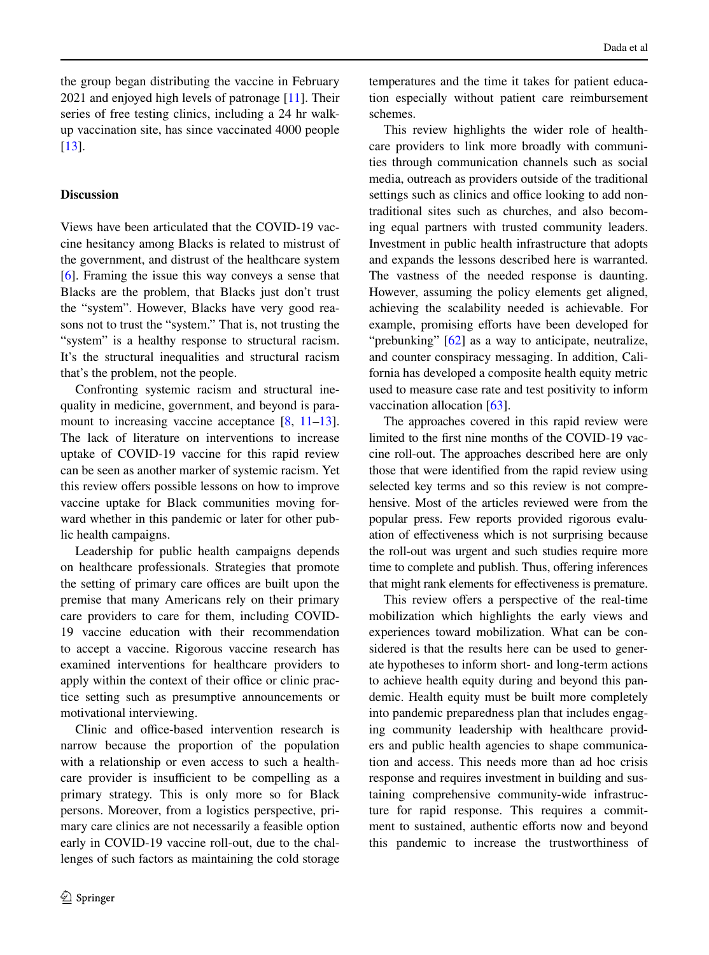the group began distributing the vaccine in February 2021 and enjoyed high levels of patronage [\[11](#page-10-17)]. Their series of free testing clinics, including a 24 hr walkup vaccination site, has since vaccinated 4000 people [\[13](#page-10-9)].

# **Discussion**

Views have been articulated that the COVID-19 vaccine hesitancy among Blacks is related to mistrust of the government, and distrust of the healthcare system [\[6](#page-10-5)]. Framing the issue this way conveys a sense that Blacks are the problem, that Blacks just don't trust the "system". However, Blacks have very good reasons not to trust the "system." That is, not trusting the "system" is a healthy response to structural racism. It's the structural inequalities and structural racism that's the problem, not the people.

Confronting systemic racism and structural inequality in medicine, government, and beyond is para-mount to increasing vaccine acceptance [[8,](#page-10-8) [11](#page-10-17)[–13](#page-10-9)]. The lack of literature on interventions to increase uptake of COVID-19 vaccine for this rapid review can be seen as another marker of systemic racism. Yet this review offers possible lessons on how to improve vaccine uptake for Black communities moving forward whether in this pandemic or later for other public health campaigns.

Leadership for public health campaigns depends on healthcare professionals. Strategies that promote the setting of primary care offices are built upon the premise that many Americans rely on their primary care providers to care for them, including COVID-19 vaccine education with their recommendation to accept a vaccine. Rigorous vaccine research has examined interventions for healthcare providers to apply within the context of their office or clinic practice setting such as presumptive announcements or motivational interviewing.

Clinic and office-based intervention research is narrow because the proportion of the population with a relationship or even access to such a healthcare provider is insufficient to be compelling as a primary strategy. This is only more so for Black persons. Moreover, from a logistics perspective, primary care clinics are not necessarily a feasible option early in COVID-19 vaccine roll-out, due to the challenges of such factors as maintaining the cold storage temperatures and the time it takes for patient education especially without patient care reimbursement schemes.

This review highlights the wider role of healthcare providers to link more broadly with communities through communication channels such as social media, outreach as providers outside of the traditional settings such as clinics and office looking to add nontraditional sites such as churches, and also becoming equal partners with trusted community leaders. Investment in public health infrastructure that adopts and expands the lessons described here is warranted. The vastness of the needed response is daunting. However, assuming the policy elements get aligned, achieving the scalability needed is achievable. For example, promising efforts have been developed for "prebunking" [\[62](#page-12-12)] as a way to anticipate, neutralize, and counter conspiracy messaging. In addition, California has developed a composite health equity metric used to measure case rate and test positivity to inform vaccination allocation [[63\]](#page-12-13).

The approaches covered in this rapid review were limited to the frst nine months of the COVID-19 vaccine roll-out. The approaches described here are only those that were identifed from the rapid review using selected key terms and so this review is not comprehensive. Most of the articles reviewed were from the popular press. Few reports provided rigorous evaluation of efectiveness which is not surprising because the roll-out was urgent and such studies require more time to complete and publish. Thus, offering inferences that might rank elements for efectiveness is premature.

This review offers a perspective of the real-time mobilization which highlights the early views and experiences toward mobilization. What can be considered is that the results here can be used to generate hypotheses to inform short- and long-term actions to achieve health equity during and beyond this pandemic. Health equity must be built more completely into pandemic preparedness plan that includes engaging community leadership with healthcare providers and public health agencies to shape communication and access. This needs more than ad hoc crisis response and requires investment in building and sustaining comprehensive community-wide infrastructure for rapid response. This requires a commitment to sustained, authentic efforts now and beyond this pandemic to increase the trustworthiness of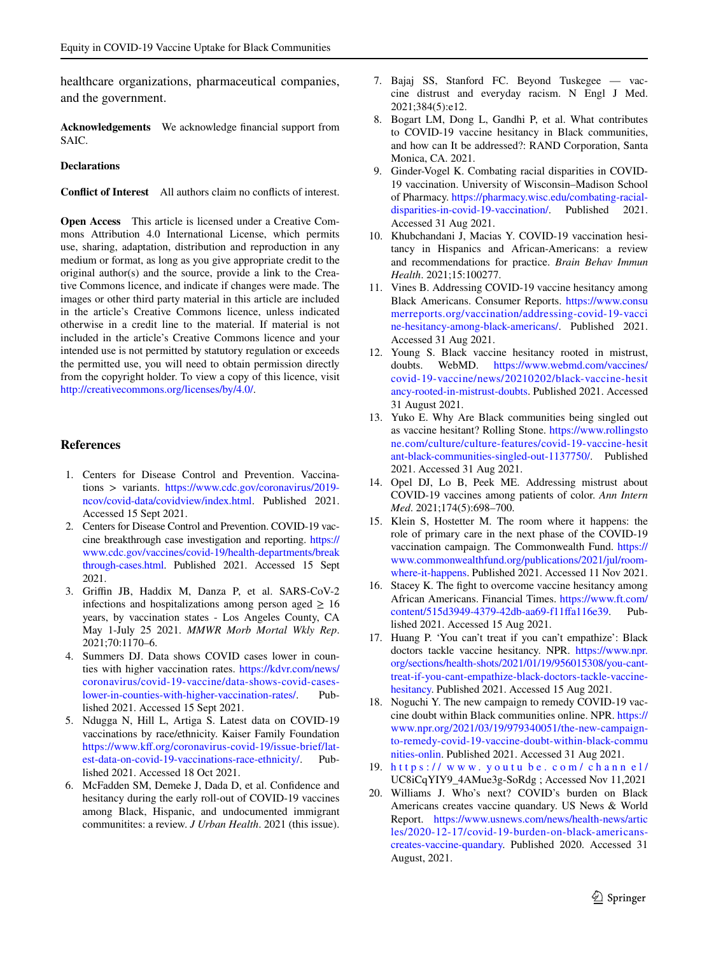healthcare organizations, pharmaceutical companies, and the government.

**Acknowledgements** We acknowledge fnancial support from SAIC.

#### **Declarations**

**Confict of Interest** All authors claim no conficts of interest.

**Open Access** This article is licensed under a Creative Commons Attribution 4.0 International License, which permits use, sharing, adaptation, distribution and reproduction in any medium or format, as long as you give appropriate credit to the original author(s) and the source, provide a link to the Creative Commons licence, and indicate if changes were made. The images or other third party material in this article are included in the article's Creative Commons licence, unless indicated otherwise in a credit line to the material. If material is not included in the article's Creative Commons licence and your intended use is not permitted by statutory regulation or exceeds the permitted use, you will need to obtain permission directly from the copyright holder. To view a copy of this licence, visit <http://creativecommons.org/licenses/by/4.0/>.

## **References**

- <span id="page-10-0"></span>1. Centers for Disease Control and Prevention. Vaccinations > variants. [https://www.cdc.gov/coronavirus/2019](https://www.cdc.gov/coronavirus/2019-ncov/covid-data/covidview/index.html) [ncov/covid-data/covidview/index.html](https://www.cdc.gov/coronavirus/2019-ncov/covid-data/covidview/index.html). Published 2021. Accessed 15 Sept 2021.
- <span id="page-10-1"></span>2. Centers for Disease Control and Prevention. COVID-19 vaccine breakthrough case investigation and reporting. [https://](https://www.cdc.gov/vaccines/covid-19/health-departments/breakthrough-cases.html) [www.cdc.gov/vaccines/covid-19/health-departments/break](https://www.cdc.gov/vaccines/covid-19/health-departments/breakthrough-cases.html) [through-cases.html](https://www.cdc.gov/vaccines/covid-19/health-departments/breakthrough-cases.html). Published 2021. Accessed 15 Sept 2021.
- <span id="page-10-2"></span>3. Grifn JB, Haddix M, Danza P, et al. SARS-CoV-2 infections and hospitalizations among person aged  $\geq 16$ years, by vaccination states - Los Angeles County, CA May 1-July 25 2021. *MMWR Morb Mortal Wkly Rep*. 2021;70:1170–6.
- <span id="page-10-3"></span>4. Summers DJ. Data shows COVID cases lower in counties with higher vaccination rates. [https://kdvr.com/news/](https://kdvr.com/news/coronavirus/covid-19-vaccine/data-shows-covid-cases-lower-in-counties-with-higher-vaccination-rates/) [coronavirus/covid-19-vaccine/data-shows-covid-cases](https://kdvr.com/news/coronavirus/covid-19-vaccine/data-shows-covid-cases-lower-in-counties-with-higher-vaccination-rates/)[lower-in-counties-with-higher-vaccination-rates/.](https://kdvr.com/news/coronavirus/covid-19-vaccine/data-shows-covid-cases-lower-in-counties-with-higher-vaccination-rates/) Published 2021. Accessed 15 Sept 2021.
- <span id="page-10-4"></span>5. Ndugga N, Hill L, Artiga S. Latest data on COVID-19 vaccinations by race/ethnicity. Kaiser Family Foundation [https://www.kf.org/coronavirus-covid-19/issue-brief/lat](https://www.kff.org/coronavirus-covid-19/issue-brief/latest-data-on-covid-19-vaccinations-race-ethnicity/)[est-data-on-covid-19-vaccinations-race-ethnicity/](https://www.kff.org/coronavirus-covid-19/issue-brief/latest-data-on-covid-19-vaccinations-race-ethnicity/). Published 2021. Accessed 18 Oct 2021.
- <span id="page-10-5"></span>6. McFadden SM, Demeke J, Dada D, et al. Confdence and hesitancy during the early roll-out of COVID-19 vaccines among Black, Hispanic, and undocumented immigrant communitites: a review. *J Urban Health*. 2021 (this issue).
- <span id="page-10-6"></span>7. Bajaj SS, Stanford FC. Beyond Tuskegee — vaccine distrust and everyday racism. N Engl J Med. 2021;384(5):e12.
- <span id="page-10-8"></span>8. Bogart LM, Dong L, Gandhi P, et al. What contributes to COVID-19 vaccine hesitancy in Black communities, and how can It be addressed?: RAND Corporation, Santa Monica, CA. 2021.
- <span id="page-10-19"></span>9. Ginder-Vogel K. Combating racial disparities in COVID-19 vaccination. University of Wisconsin–Madison School of Pharmacy. [https://pharmacy.wisc.edu/combating-racial](https://pharmacy.wisc.edu/combating-racial-disparities-in-covid-19-vaccination/)[disparities-in-covid-19-vaccination/.](https://pharmacy.wisc.edu/combating-racial-disparities-in-covid-19-vaccination/) Published 2021. Accessed 31 Aug 2021.
- <span id="page-10-7"></span>10. Khubchandani J, Macias Y. COVID-19 vaccination hesitancy in Hispanics and African-Americans: a review and recommendations for practice. *Brain Behav Immun Health*. 2021;15:100277.
- <span id="page-10-17"></span>11. Vines B. Addressing COVID-19 vaccine hesitancy among Black Americans. Consumer Reports. [https://www.consu](https://www.consumerreports.org/vaccination/addressing-covid-19-vaccine-hesitancy-among-black-americans/) [merreports.org/vaccination/addressing-covid-19-vacci](https://www.consumerreports.org/vaccination/addressing-covid-19-vaccine-hesitancy-among-black-americans/) [ne-hesitancy-among-black-americans/](https://www.consumerreports.org/vaccination/addressing-covid-19-vaccine-hesitancy-among-black-americans/). Published 2021. Accessed 31 Aug 2021.
- <span id="page-10-16"></span>12. Young S. Black vaccine hesitancy rooted in mistrust, doubts. WebMD. https://www.webmd.com/vaccines/ [https://www.webmd.com/vaccines/](https://www.webmd.com/vaccines/covid-19-vaccine/news/20210202/black-vaccine-hesitancy-rooted-in-mistrust-doubts) [covid-19-vaccine/news/20210202/black-vaccine-hesit](https://www.webmd.com/vaccines/covid-19-vaccine/news/20210202/black-vaccine-hesitancy-rooted-in-mistrust-doubts) [ancy-rooted-in-mistrust-doubts](https://www.webmd.com/vaccines/covid-19-vaccine/news/20210202/black-vaccine-hesitancy-rooted-in-mistrust-doubts). Published 2021. Accessed 31 August 2021.
- <span id="page-10-9"></span>13. Yuko E. Why Are Black communities being singled out as vaccine hesitant? Rolling Stone. [https://www.rollingsto](https://www.rollingstone.com/culture/culture-features/covid-19-vaccine-hesitant-black-communities-singled-out-1137750/) [ne.com/culture/culture-features/covid-19-vaccine-hesit](https://www.rollingstone.com/culture/culture-features/covid-19-vaccine-hesitant-black-communities-singled-out-1137750/) [ant-black-communities-singled-out-1137750/.](https://www.rollingstone.com/culture/culture-features/covid-19-vaccine-hesitant-black-communities-singled-out-1137750/) Published 2021. Accessed 31 Aug 2021.
- <span id="page-10-10"></span>14. Opel DJ, Lo B, Peek ME. Addressing mistrust about COVID-19 vaccines among patients of color. *Ann Intern Med*. 2021;174(5):698–700.
- <span id="page-10-11"></span>15. Klein S, Hostetter M. The room where it happens: the role of primary care in the next phase of the COVID-19 vaccination campaign. The Commonwealth Fund. [https://](https://www.commonwealthfund.org/publications/2021/jul/room-where-it-happens) [www.commonwealthfund.org/publications/2021/jul/room](https://www.commonwealthfund.org/publications/2021/jul/room-where-it-happens)[where-it-happens](https://www.commonwealthfund.org/publications/2021/jul/room-where-it-happens). Published 2021. Accessed 11 Nov 2021.
- <span id="page-10-12"></span>16. Stacey K. The fght to overcome vaccine hesitancy among African Americans. Financial Times. [https://www.ft.com/](https://www.ft.com/content/515d3949-4379-42db-aa69-f11ffa116e39)<br>content/515d3949-4379-42db-aa69-f11ffa116e39. Pubcontent/515d3949-4379-42db-aa69-f11ffa116e39. lished 2021. Accessed 15 Aug 2021.
- <span id="page-10-18"></span>17. Huang P. 'You can't treat if you can't empathize': Black doctors tackle vaccine hesitancy. NPR. [https://www.npr.](https://www.npr.org/sections/health-shots/2021/01/19/956015308/you-cant-treat-if-you-cant-empathize-black-doctors-tackle-vaccine-hesitancy) [org/sections/health-shots/2021/01/19/956015308/you-cant](https://www.npr.org/sections/health-shots/2021/01/19/956015308/you-cant-treat-if-you-cant-empathize-black-doctors-tackle-vaccine-hesitancy)[treat-if-you-cant-empathize-black-doctors-tackle-vaccine](https://www.npr.org/sections/health-shots/2021/01/19/956015308/you-cant-treat-if-you-cant-empathize-black-doctors-tackle-vaccine-hesitancy)[hesitancy.](https://www.npr.org/sections/health-shots/2021/01/19/956015308/you-cant-treat-if-you-cant-empathize-black-doctors-tackle-vaccine-hesitancy) Published 2021. Accessed 15 Aug 2021.
- <span id="page-10-13"></span>18. Noguchi Y. The new campaign to remedy COVID-19 vaccine doubt within Black communities online. NPR. [https://](https://www.npr.org/2021/03/19/979340051/the-new-campaign-to-remedy-covid-19-vaccine-doubt-within-black-communities-onlin) [www.npr.org/2021/03/19/979340051/the-new-campaign](https://www.npr.org/2021/03/19/979340051/the-new-campaign-to-remedy-covid-19-vaccine-doubt-within-black-communities-onlin)[to-remedy-covid-19-vaccine-doubt-within-black-commu](https://www.npr.org/2021/03/19/979340051/the-new-campaign-to-remedy-covid-19-vaccine-doubt-within-black-communities-onlin) [nities-onlin.](https://www.npr.org/2021/03/19/979340051/the-new-campaign-to-remedy-covid-19-vaccine-doubt-within-black-communities-onlin) Published 2021. Accessed 31 Aug 2021.
- <span id="page-10-14"></span>19. [https://](https://www.youtube.com/channel/) www. youtu be. com/ chann el/ UC8iCqYIY9\_4AMue3g-SoRdg ; Accessed Nov 11,2021
- <span id="page-10-15"></span>20. Williams J. Who's next? COVID's burden on Black Americans creates vaccine quandary. US News & World Report. [https://www.usnews.com/news/health-news/artic](https://www.usnews.com/news/health-news/articles/2020-12-17/covid-19-burden-on-black-americans-creates-vaccine-quandary) [les/2020-12-17/covid-19-burden-on-black-americans](https://www.usnews.com/news/health-news/articles/2020-12-17/covid-19-burden-on-black-americans-creates-vaccine-quandary)[creates-vaccine-quandary.](https://www.usnews.com/news/health-news/articles/2020-12-17/covid-19-burden-on-black-americans-creates-vaccine-quandary) Published 2020. Accessed 31 August, 2021.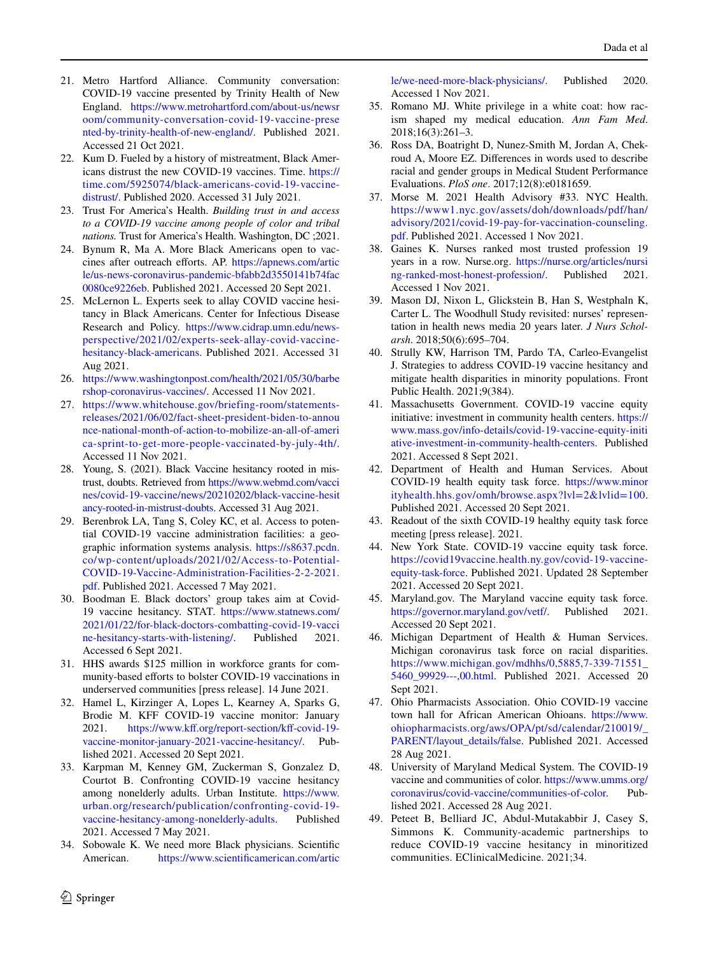- <span id="page-11-0"></span>21. Metro Hartford Alliance. Community conversation: COVID-19 vaccine presented by Trinity Health of New England. [https://www.metrohartford.com/about-us/newsr](https://www.metrohartford.com/about-us/newsroom/community-conversation-covid-19-vaccine-presented-by-trinity-health-of-new-england/) [oom/community-conversation-covid-19-vaccine-prese](https://www.metrohartford.com/about-us/newsroom/community-conversation-covid-19-vaccine-presented-by-trinity-health-of-new-england/) [nted-by-trinity-health-of-new-england/](https://www.metrohartford.com/about-us/newsroom/community-conversation-covid-19-vaccine-presented-by-trinity-health-of-new-england/). Published 2021. Accessed 21 Oct 2021.
- <span id="page-11-1"></span>22. Kum D. Fueled by a history of mistreatment, Black Americans distrust the new COVID-19 vaccines. Time. [https://](https://time.com/5925074/black-americans-covid-19-vaccine-distrust/) [time.com/5925074/black-americans-covid-19-vaccine](https://time.com/5925074/black-americans-covid-19-vaccine-distrust/)[distrust/](https://time.com/5925074/black-americans-covid-19-vaccine-distrust/). Published 2020. Accessed 31 July 2021.
- <span id="page-11-2"></span>23. Trust For America's Health. *Building trust in and access to a COVID-19 vaccine among people of color and tribal nations.* Trust for America's Health. Washington, DC ;2021.
- <span id="page-11-3"></span>24. Bynum R, Ma A. More Black Americans open to vaccines after outreach efforts. AP. [https://apnews.com/artic](https://apnews.com/article/us-news-coronavirus-pandemic-bfabb2d3550141b74fac0080ce9226eb) [le/us-news-coronavirus-pandemic-bfabb2d3550141b74fac](https://apnews.com/article/us-news-coronavirus-pandemic-bfabb2d3550141b74fac0080ce9226eb) [0080ce9226eb](https://apnews.com/article/us-news-coronavirus-pandemic-bfabb2d3550141b74fac0080ce9226eb). Published 2021. Accessed 20 Sept 2021.
- <span id="page-11-4"></span>25. McLernon L. Experts seek to allay COVID vaccine hesitancy in Black Americans. Center for Infectious Disease Research and Policy. [https://www.cidrap.umn.edu/news](https://www.cidrap.umn.edu/news-perspective/2021/02/experts-seek-allay-covid-vaccine-hesitancy-black-americans)[perspective/2021/02/experts-seek-allay-covid-vaccine](https://www.cidrap.umn.edu/news-perspective/2021/02/experts-seek-allay-covid-vaccine-hesitancy-black-americans)[hesitancy-black-americans.](https://www.cidrap.umn.edu/news-perspective/2021/02/experts-seek-allay-covid-vaccine-hesitancy-black-americans) Published 2021. Accessed 31 Aug 2021.
- <span id="page-11-5"></span>26. [https://www.washingtonpost.com/health/2021/05/30/barbe](https://www.washingtonpost.com/health/2021/05/30/barbershop-coronavirus-vaccines/) [rshop-coronavirus-vaccines/](https://www.washingtonpost.com/health/2021/05/30/barbershop-coronavirus-vaccines/). Accessed 11 Nov 2021.
- <span id="page-11-6"></span>27. [https://www.whitehouse.gov/briefing-room/statements](https://www.whitehouse.gov/briefing-room/statements-releases/2021/06/02/fact-sheet-president-biden-to-announce-national-month-of-action-to-mobilize-an-all-of-america-sprint-to-get-more-people-vaccinated-by-july-4th/)[releases/2021/06/02/fact-sheet-president-biden-to-annou](https://www.whitehouse.gov/briefing-room/statements-releases/2021/06/02/fact-sheet-president-biden-to-announce-national-month-of-action-to-mobilize-an-all-of-america-sprint-to-get-more-people-vaccinated-by-july-4th/) [nce-national-month-of-action-to-mobilize-an-all-of-ameri](https://www.whitehouse.gov/briefing-room/statements-releases/2021/06/02/fact-sheet-president-biden-to-announce-national-month-of-action-to-mobilize-an-all-of-america-sprint-to-get-more-people-vaccinated-by-july-4th/) [ca-sprint-to-get-more-people-vaccinated-by-july-4th/](https://www.whitehouse.gov/briefing-room/statements-releases/2021/06/02/fact-sheet-president-biden-to-announce-national-month-of-action-to-mobilize-an-all-of-america-sprint-to-get-more-people-vaccinated-by-july-4th/). Accessed 11 Nov 2021.
- <span id="page-11-7"></span>28. Young, S. (2021). Black Vaccine hesitancy rooted in mistrust, doubts. Retrieved from [https://www.webmd.com/vacci](https://www.webmd.com/vaccines/covid-19-vaccine/news/20210202/black-vaccine-hesitancy-rooted-in-mistrust-doubts) [nes/covid-19-vaccine/news/20210202/black-vaccine-hesit](https://www.webmd.com/vaccines/covid-19-vaccine/news/20210202/black-vaccine-hesitancy-rooted-in-mistrust-doubts) [ancy-rooted-in-mistrust-doubts.](https://www.webmd.com/vaccines/covid-19-vaccine/news/20210202/black-vaccine-hesitancy-rooted-in-mistrust-doubts) Accessed 31 Aug 2021.
- <span id="page-11-8"></span>29. Berenbrok LA, Tang S, Coley KC, et al. Access to potential COVID-19 vaccine administration facilities: a geographic information systems analysis. [https://s8637.pcdn.](https://s8637.pcdn.co/wp-content/uploads/2021/02/Access-to-Potential-COVID-19-Vaccine-Administration-Facilities-2-2-2021.pdf) [co/wp-content/uploads/2021/02/Access-to-Potential-](https://s8637.pcdn.co/wp-content/uploads/2021/02/Access-to-Potential-COVID-19-Vaccine-Administration-Facilities-2-2-2021.pdf)[COVID-19-Vaccine-Administration-Facilities-2-2-2021.](https://s8637.pcdn.co/wp-content/uploads/2021/02/Access-to-Potential-COVID-19-Vaccine-Administration-Facilities-2-2-2021.pdf) [pdf](https://s8637.pcdn.co/wp-content/uploads/2021/02/Access-to-Potential-COVID-19-Vaccine-Administration-Facilities-2-2-2021.pdf). Published 2021. Accessed 7 May 2021.
- <span id="page-11-9"></span>30. Boodman E. Black doctors' group takes aim at Covid-19 vaccine hesitancy. STAT. [https://www.statnews.com/](https://www.statnews.com/2021/01/22/for-black-doctors-combatting-covid-19-vaccine-hesitancy-starts-with-listening/) [2021/01/22/for-black-doctors-combatting-covid-19-vacci](https://www.statnews.com/2021/01/22/for-black-doctors-combatting-covid-19-vaccine-hesitancy-starts-with-listening/) [ne-hesitancy-starts-with-listening/](https://www.statnews.com/2021/01/22/for-black-doctors-combatting-covid-19-vaccine-hesitancy-starts-with-listening/). Published 2021. Accessed 6 Sept 2021.
- <span id="page-11-10"></span>31. HHS awards \$125 million in workforce grants for community-based efforts to bolster COVID-19 vaccinations in underserved communities [press release]. 14 June 2021.
- <span id="page-11-11"></span>32. Hamel L, Kirzinger A, Lopes L, Kearney A, Sparks G, Brodie M. KFF COVID-19 vaccine monitor: January 2021. https://www.kff.org/report-section/kff-covid-19[vaccine-monitor-january-2021-vaccine-hesitancy/](https://www.kff.org/report-section/kff-covid-19-vaccine-monitor-january-2021-vaccine-hesitancy/). Published 2021. Accessed 20 Sept 2021.
- <span id="page-11-12"></span>33. Karpman M, Kenney GM, Zuckerman S, Gonzalez D, Courtot B. Confronting COVID-19 vaccine hesitancy among nonelderly adults. Urban Institute. [https://www.](https://www.urban.org/research/publication/confronting-covid-19-vaccine-hesitancy-among-nonelderly-adults) [urban.org/research/publication/confronting-covid-19](https://www.urban.org/research/publication/confronting-covid-19-vaccine-hesitancy-among-nonelderly-adults) [vaccine-hesitancy-among-nonelderly-adults](https://www.urban.org/research/publication/confronting-covid-19-vaccine-hesitancy-among-nonelderly-adults). Published 2021. Accessed 7 May 2021.
- <span id="page-11-13"></span>34. Sobowale K. We need more Black physicians. Scientifc American. [https://www.scientifcamerican.com/artic](https://www.scientificamerican.com/article/we-need-more-black-physicians/)

[le/we-need-more-black-physicians/.](https://www.scientificamerican.com/article/we-need-more-black-physicians/) Published 2020. Accessed 1 Nov 2021.

- <span id="page-11-14"></span>35. Romano MJ. White privilege in a white coat: how racism shaped my medical education. *Ann Fam Med*. 2018;16(3):261–3.
- <span id="page-11-15"></span>36. Ross DA, Boatright D, Nunez-Smith M, Jordan A, Chekroud A, Moore EZ. Diferences in words used to describe racial and gender groups in Medical Student Performance Evaluations. *PloS one*. 2017;12(8):e0181659.
- <span id="page-11-16"></span>37. Morse M. 2021 Health Advisory #33. NYC Health. [https://www1.nyc.gov/assets/doh/downloads/pdf/han/](https://www1.nyc.gov/assets/doh/downloads/pdf/han/advisory/2021/covid-19-pay-for-vaccination-counseling.pdf) [advisory/2021/covid-19-pay-for-vaccination-counseling.](https://www1.nyc.gov/assets/doh/downloads/pdf/han/advisory/2021/covid-19-pay-for-vaccination-counseling.pdf) [pdf](https://www1.nyc.gov/assets/doh/downloads/pdf/han/advisory/2021/covid-19-pay-for-vaccination-counseling.pdf). Published 2021. Accessed 1 Nov 2021.
- <span id="page-11-17"></span>38. Gaines K. Nurses ranked most trusted profession 19 years in a row. Nurse.org. [https://nurse.org/articles/nursi](https://nurse.org/articles/nursing-ranked-most-honest-profession/) [ng-ranked-most-honest-profession/.](https://nurse.org/articles/nursing-ranked-most-honest-profession/) Published 2021. Accessed 1 Nov 2021.
- <span id="page-11-18"></span>39. Mason DJ, Nixon L, Glickstein B, Han S, Westphaln K, Carter L. The Woodhull Study revisited: nurses' representation in health news media 20 years later. *J Nurs Schol‑ arsh*. 2018;50(6):695–704.
- <span id="page-11-19"></span>40. Strully KW, Harrison TM, Pardo TA, Carleo-Evangelist J. Strategies to address COVID-19 vaccine hesitancy and mitigate health disparities in minority populations. Front Public Health. 2021;9(384).
- <span id="page-11-20"></span>41. Massachusetts Government. COVID-19 vaccine equity initiative: investment in community health centers. [https://](https://www.mass.gov/info-details/covid-19-vaccine-equity-initiative-investment-in-community-health-centers) [www.mass.gov/info-details/covid-19-vaccine-equity-initi](https://www.mass.gov/info-details/covid-19-vaccine-equity-initiative-investment-in-community-health-centers) [ative-investment-in-community-health-centers](https://www.mass.gov/info-details/covid-19-vaccine-equity-initiative-investment-in-community-health-centers). Published 2021. Accessed 8 Sept 2021.
- <span id="page-11-21"></span>42. Department of Health and Human Services. About COVID-19 health equity task force. [https://www.minor](https://www.minorityhealth.hhs.gov/omh/browse.aspx?lvl=2&lvlid=100) [ityhealth.hhs.gov/omh/browse.aspx?lvl=2&lvlid=100](https://www.minorityhealth.hhs.gov/omh/browse.aspx?lvl=2&lvlid=100). Published 2021. Accessed 20 Sept 2021.
- <span id="page-11-22"></span>43. Readout of the sixth COVID-19 healthy equity task force meeting [press release]. 2021.
- <span id="page-11-23"></span>44. New York State. COVID-19 vaccine equity task force. [https://covid19vaccine.health.ny.gov/covid-19-vaccine](https://covid19vaccine.health.ny.gov/covid-19-vaccine-equity-task-force)[equity-task-force](https://covid19vaccine.health.ny.gov/covid-19-vaccine-equity-task-force). Published 2021. Updated 28 September 2021. Accessed 20 Sept 2021.
- <span id="page-11-24"></span>45. Maryland.gov. The Maryland vaccine equity task force. <https://governor.maryland.gov/vetf/>. Published 2021. Accessed 20 Sept 2021.
- <span id="page-11-25"></span>46. Michigan Department of Health & Human Services. Michigan coronavirus task force on racial disparities. [https://www.michigan.gov/mdhhs/0,5885,7-339-71551\\_](https://www.michigan.gov/mdhhs/0,5885,7-339-71551_5460_99929---,00.html) [5460\\_99929---,00.html](https://www.michigan.gov/mdhhs/0,5885,7-339-71551_5460_99929---,00.html). Published 2021. Accessed 20 Sept 2021.
- <span id="page-11-26"></span>47. Ohio Pharmacists Association. Ohio COVID-19 vaccine town hall for African American Ohioans. [https://www.](https://www.ohiopharmacists.org/aws/OPA/pt/sd/calendar/210019/_PARENT/layout_details/false) [ohiopharmacists.org/aws/OPA/pt/sd/calendar/210019/\\_](https://www.ohiopharmacists.org/aws/OPA/pt/sd/calendar/210019/_PARENT/layout_details/false) [PARENT/layout\\_details/false](https://www.ohiopharmacists.org/aws/OPA/pt/sd/calendar/210019/_PARENT/layout_details/false). Published 2021. Accessed 28 Aug 2021.
- <span id="page-11-27"></span>48. University of Maryland Medical System. The COVID-19 vaccine and communities of color. [https://www.umms.org/](https://www.umms.org/coronavirus/covid-vaccine/communities-of-color)<br>coronavirus/covid-vaccine/communities-of-color. Pub[coronavirus/covid-vaccine/communities-of-color.](https://www.umms.org/coronavirus/covid-vaccine/communities-of-color) lished 2021. Accessed 28 Aug 2021.
- <span id="page-11-28"></span>49. Peteet B, Belliard JC, Abdul-Mutakabbir J, Casey S, Simmons K. Community-academic partnerships to reduce COVID-19 vaccine hesitancy in minoritized communities. EClinicalMedicine. 2021;34.